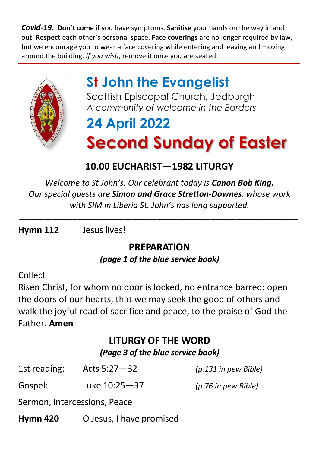*Covid-19:* **Don't come** if you have symptoms. **Sanitise** your hands on the way in and out. **Respect** each other's personal space. **Face coverings** are no longer required by law, but we encourage you to wear a face covering while entering and leaving and moving around the building. *If you wish*, remove it once you are seated.



## **St John the Evangelist**

Scottish Episcopal Church, Jedburgh *A community of welcome in the Borders*

# **24 April 2022 Second Sunday of Easter**

### **10.00 EUCHARIST—1982 LITURGY**

*Welcome to St John's. Our celebrant today is Canon Bob King. Our special guests are Simon and Grace Stretton-Downes, whose work with SIM in Liberia St. John's has long supported.*

*\_\_\_\_\_\_\_\_\_\_\_\_\_\_\_\_\_\_\_\_\_\_\_\_\_\_\_\_\_\_\_\_\_\_\_\_\_\_\_\_\_\_\_\_\_\_\_\_\_\_\_\_\_\_\_\_\_\_\_\_\_\_\_\_\_\_\_*

**Hymn 112** Jesus lives!

#### **PREPARATION** *(page 1 of the blue service book)*

#### Collect

Risen Christ, for whom no door is locked, no entrance barred: open the doors of our hearts, that we may seek the good of others and walk the joyful road of sacrifice and peace, to the praise of God the Father. **Amen**

#### **LITURGY OF THE WORD**

*(Page 3 of the blue service book)*

| <b>Hymn 420</b> | O Jesus, I have promised     |                        |
|-----------------|------------------------------|------------------------|
|                 | Sermon, Intercessions, Peace |                        |
| Gospel:         | Luke 10:25-37                | (p.76 in pew Bible)    |
| 1st reading:    | Acts $5:27 - 32$             | $(p.131$ in pew Bible) |